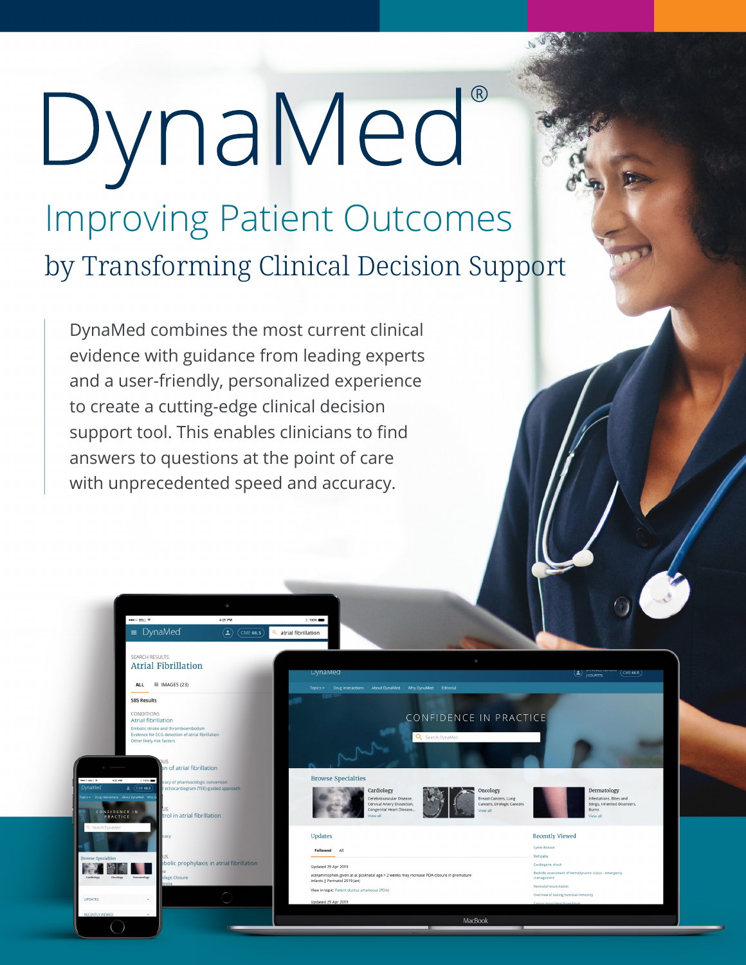# DynaMed Improving Patient Outcomes by Transforming Clinical Decision Support

DynaMed combines the most current clinical evidence with guidance from leading experts and a user-friendly, personalized experience to create a cutting-edge clinical decision support tool. This enables clinicians to find answers to questions at the point of care with unprecedented speed and accuracy.